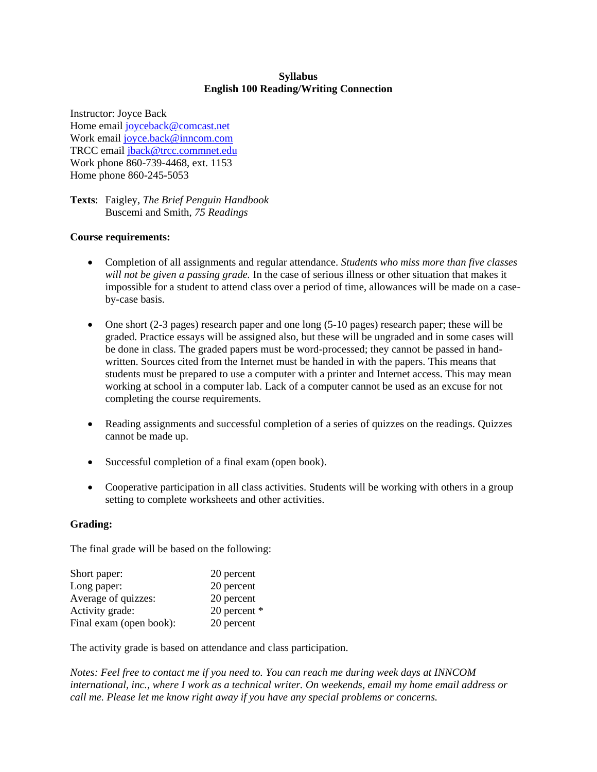### **Syllabus English 100 Reading/Writing Connection**

Instructor: Joyce Back Home email [joyceback@comcast.net](mailto:joyceback@comcast.net) Work email [joyce.back@inncom.com](mailto:joyce.back@inncom.com) TRCC email [jback@trcc.commnet.edu](mailto:jback@trcc.commnet.edu) Work phone 860-739-4468, ext. 1153 Home phone 860-245-5053

**Texts**: Faigley, *The Brief Penguin Handbook* Buscemi and Smith, *75 Readings*

#### **Course requirements:**

- Completion of all assignments and regular attendance. *Students who miss more than five classes will not be given a passing grade.* In the case of serious illness or other situation that makes it impossible for a student to attend class over a period of time, allowances will be made on a caseby-case basis.
- One short (2-3 pages) research paper and one long (5-10 pages) research paper; these will be graded. Practice essays will be assigned also, but these will be ungraded and in some cases will be done in class. The graded papers must be word-processed; they cannot be passed in handwritten. Sources cited from the Internet must be handed in with the papers. This means that students must be prepared to use a computer with a printer and Internet access. This may mean working at school in a computer lab. Lack of a computer cannot be used as an excuse for not completing the course requirements.
- Reading assignments and successful completion of a series of quizzes on the readings. Quizzes cannot be made up.
- Successful completion of a final exam (open book).
- Cooperative participation in all class activities. Students will be working with others in a group setting to complete worksheets and other activities.

#### **Grading:**

The final grade will be based on the following:

| 20 percent   |
|--------------|
| 20 percent   |
| 20 percent   |
| 20 percent * |
| 20 percent   |
|              |

The activity grade is based on attendance and class participation.

*Notes: Feel free to contact me if you need to. You can reach me during week days at INNCOM international, inc., where I work as a technical writer. On weekends, email my home email address or call me. Please let me know right away if you have any special problems or concerns.*